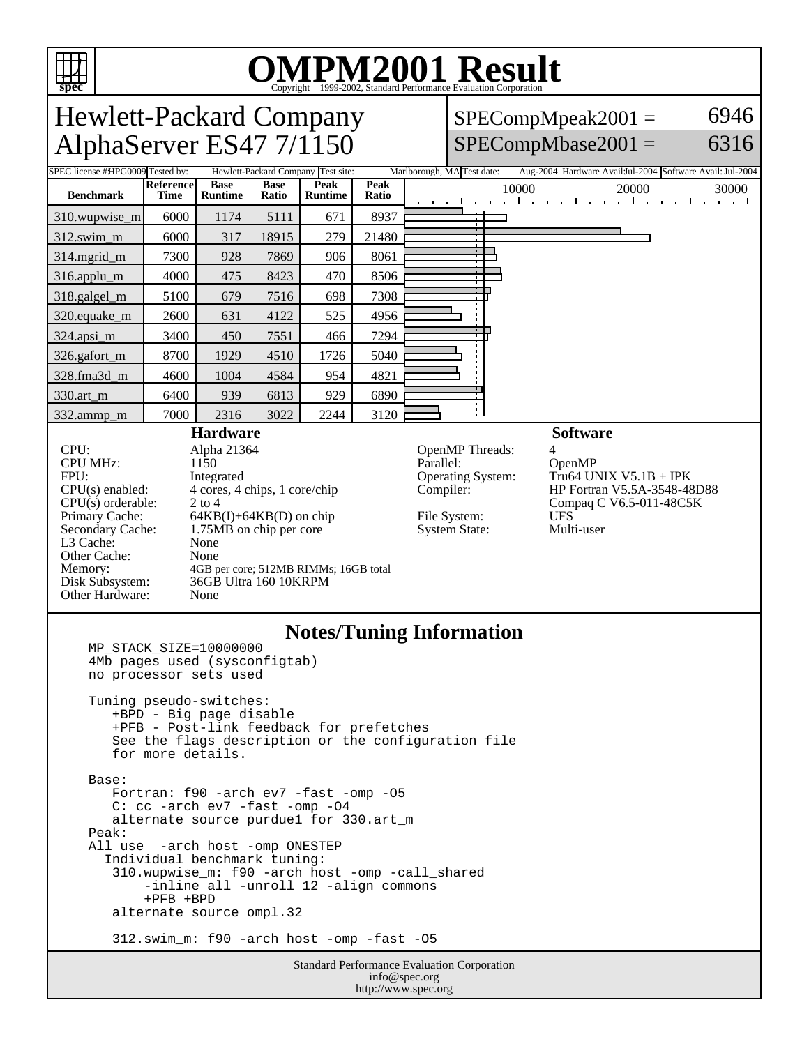

# OMPM2001 Result to Evaluation Corporation

Standard Performance Evaluation Corporation info@spec.org http://www.spec.org Hewlett-Packard Company AlphaServer ES47 7/1150  $SPECompMpeak2001 =$  $SPECompMbase2001 =$ 6946 6316 Tested by: Hewlett-Packard Company Test site: Marlborough, MA Test date: Aug-2004 Hardware AvailJul-2004 Software Avail: Jul-2004 **Benchmark Reference Time Base Runtime Base Ratio Peak Runtime Peak Ratio** 10000 20000 30000 310.wupwise\_m 6000 1174 5111 671 8937 312.swim\_m 6000 317 | 18915 279 | 21480 314.mgrid\_m | 7300 | 928 | 7869 | 906 | 8061 316.applu\_m 4000 475 8423 470 8506 318.galgel\_m | 5100 679 7516 698 7308 320.equake\_m | 2600 | 631 | 4122 | 525 | 4956 324.apsi\_m 3400 450 7551 466 7294 326.gafort\_m | 8700 | 1929 | 4510 | 1726 | 5040 328.fma3d\_m 4600 1004 4584 954 4821 330.art\_m 6400 939 6813 929 6890 332.ammp\_m | 7000 | 2316 | 3022 | 2244 | 3120 **Hardware** CPU: Alpha 21364<br>CPU MHz: 1150 CPU MHz: FPU: Integrated CPU(s) enabled: 4 cores, 4 chips, 1 core/chip CPU(s) orderable: 2 to 4<br>Primary Cache: 64KB Primary Cache: 64KB(I)+64KB(D) on chip<br>Secondary Cache: 1.75MB on chip per core 1.75MB on chip per core L3 Cache: None<br>
Other Cache: None Other Cache: Memory: 4GB per core; 512MB RIMMs; 16GB total<br>Disk Subsystem: 36GB Ultra 160 10KRPM 36GB Ultra 160 10KRPM Other Hardware: None **Software** OpenMP Threads:<br>Parallel: OpenMP Operating System: Tru64 UNIX V5.1B + IPK Compiler: HP Fortran V5.5A-3548-48D88 Compaq C V6.5-011-48C5K File System: UFS<br>System State: Multi-user System State: **Notes/Tuning Information** MP\_STACK\_SIZE=10000000 4Mb pages used (sysconfigtab) no processor sets used Tuning pseudo-switches: +BPD - Big page disable +PFB - Post-link feedback for prefetches See the flags description or the configuration file for more details. Base: Fortran: f90 -arch ev7 -fast -omp -O5 C: cc -arch ev7 -fast -omp -O4 alternate source purdue1 for 330.art\_m Peak: All use -arch host -omp ONESTEP Individual benchmark tuning: 310.wupwise\_m: f90 -arch host -omp -call\_shared -inline all -unroll 12 -align commons +PFB +BPD alternate source ompl.32 312.swim\_m: f90 -arch host -omp -fast -O5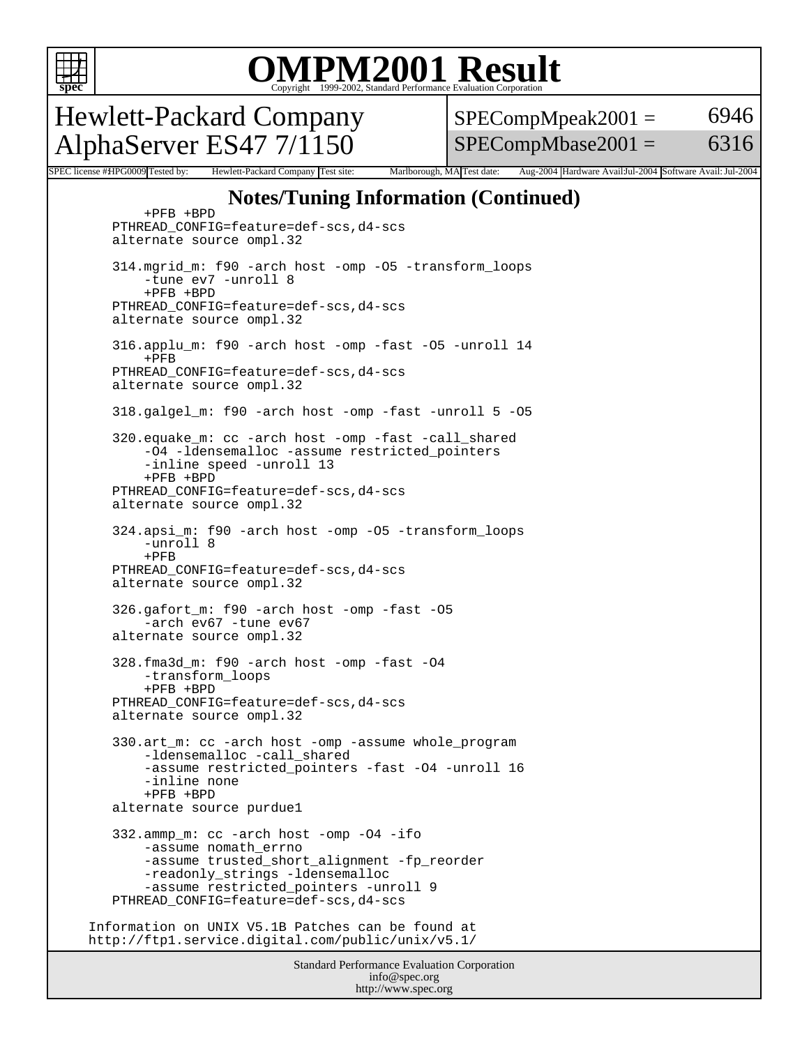

### OMPM2001 Result to Evaluation Corporation

Hewlett-Packard Company AlphaServer ES47 7/1150

 $SPECompMpeak2001 =$  $SPECompMbase2001 =$ 6946 6316

SPEC license #HPG0009 Tested by: Hewlett-Packard Company Test site: Marlborough, MA Test date: Aug-2004 Hardware Avail:Jul-2004 Software Avail: Jul-2004

#### **Notes/Tuning Information (Continued)**

 +PFB +BPD PTHREAD\_CONFIG=feature=def-scs,d4-scs alternate source ompl.32 314.mgrid\_m: f90 -arch host -omp -O5 -transform\_loops -tune ev7 -unroll 8 +PFB +BPD PTHREAD\_CONFIG=feature=def-scs,d4-scs alternate source ompl.32 316.applu\_m: f90 -arch host -omp -fast -O5 -unroll 14 +PFB PTHREAD\_CONFIG=feature=def-scs,d4-scs alternate source ompl.32 318.galgel\_m: f90 -arch host -omp -fast -unroll 5 -O5 320.equake\_m: cc -arch host -omp -fast -call\_shared -O4 -ldensemalloc -assume restricted\_pointers -inline speed -unroll 13 +PFB +BPD PTHREAD\_CONFIG=feature=def-scs,d4-scs alternate source ompl.32 324.apsi\_m: f90 -arch host -omp -O5 -transform\_loops -unroll 8 +PFB PTHREAD\_CONFIG=feature=def-scs,d4-scs alternate source ompl.32 326.gafort\_m: f90 -arch host -omp -fast -O5 -arch ev67 -tune ev67 alternate source ompl.32 328.fma3d\_m: f90 -arch host -omp -fast -O4 -transform\_loops +PFB +BPD PTHREAD\_CONFIG=feature=def-scs,d4-scs alternate source ompl.32 330.art\_m: cc -arch host -omp -assume whole\_program -ldensemalloc -call\_shared -assume restricted\_pointers -fast -O4 -unroll 16 -inline none +PFB +BPD alternate source purdue1 332.ammp\_m: cc -arch host -omp -O4 -ifo -assume nomath\_errno -assume trusted short alignment -fp reorder -readonly\_strings -ldensemalloc -assume restricted\_pointers -unroll 9 PTHREAD\_CONFIG=feature=def-scs,d4-scs Information on UNIX V5.1B Patches can be found at http://ftp1.service.digital.com/public/unix/v5.1/

Standard Performance Evaluation Corporation info@spec.org http://www.spec.org